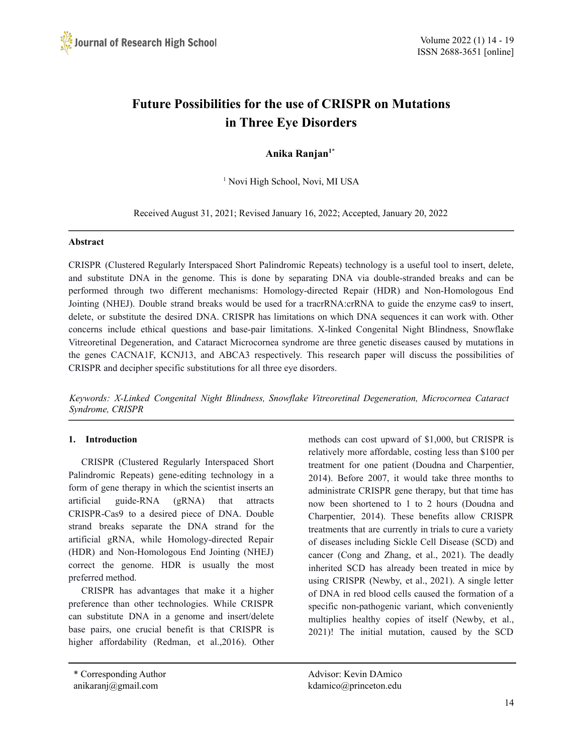

# **Future Possibilities for the use of CRISPR on Mutations in Three Eye Disorders**

# **Anika Ranjan 1\***

<sup>1</sup> Novi High School, Novi, MI USA

Received August 31, 2021; Revised January 16, 2022; Accepted, January 20, 2022

#### **Abstract**

CRISPR (Clustered Regularly Interspaced Short Palindromic Repeats) technology is a useful tool to insert, delete, and substitute DNA in the genome. This is done by separating DNA via double-stranded breaks and can be performed through two different mechanisms: Homology-directed Repair (HDR) and Non-Homologous End Jointing (NHEJ). Double strand breaks would be used for a tracrRNA:crRNA to guide the enzyme cas9 to insert, delete, or substitute the desired DNA. CRISPR has limitations on which DNA sequences it can work with. Other concerns include ethical questions and base-pair limitations. X-linked Congenital Night Blindness, Snowflake Vitreoretinal Degeneration, and Cataract Microcornea syndrome are three genetic diseases caused by mutations in the genes CACNA1F, KCNJ13, and ABCA3 respectively. This research paper will discuss the possibilities of CRISPR and decipher specific substitutions for all three eye disorders.

*Keywords: X-Linked Congenital Night Blindness, Snowflake Vitreoretinal Degeneration, Microcornea Cataract Syndrome, CRISPR*

#### **1. Introduction**

CRISPR (Clustered Regularly Interspaced Short Palindromic Repeats) gene-editing technology in a form of gene therapy in which the scientist inserts an artificial guide-RNA (gRNA) that attracts CRISPR-Cas9 to a desired piece of DNA. Double strand breaks separate the DNA strand for the artificial gRNA, while Homology-directed Repair (HDR) and Non-Homologous End Jointing (NHEJ) correct the genome. HDR is usually the most preferred method.

CRISPR has advantages that make it a higher preference than other technologies. While CRISPR can substitute DNA in a genome and insert/delete base pairs, one crucial benefit is that CRISPR is higher affordability (Redman, et al.,2016). Other methods can cost upward of \$1,000, but CRISPR is relatively more affordable, costing less than \$100 per treatment for one patient (Doudna and Charpentier, 2014). Before 2007, it would take three months to administrate CRISPR gene therapy, but that time has now been shortened to 1 to 2 hours (Doudna and Charpentier, 2014). These benefits allow CRISPR treatments that are currently in trials to cure a variety of diseases including Sickle Cell Disease (SCD) and cancer (Cong and Zhang, et al., 2021). The deadly inherited SCD has already been treated in mice by using CRISPR (Newby, et al., 2021). A single letter of DNA in red blood cells caused the formation of a specific non-pathogenic variant, which conveniently multiplies healthy copies of itself (Newby, et al., 2021)! The initial mutation, caused by the SCD

\* Corresponding Author Advisor: Kevin DAmico anikaranj@gmail.com kdamico@princeton.edu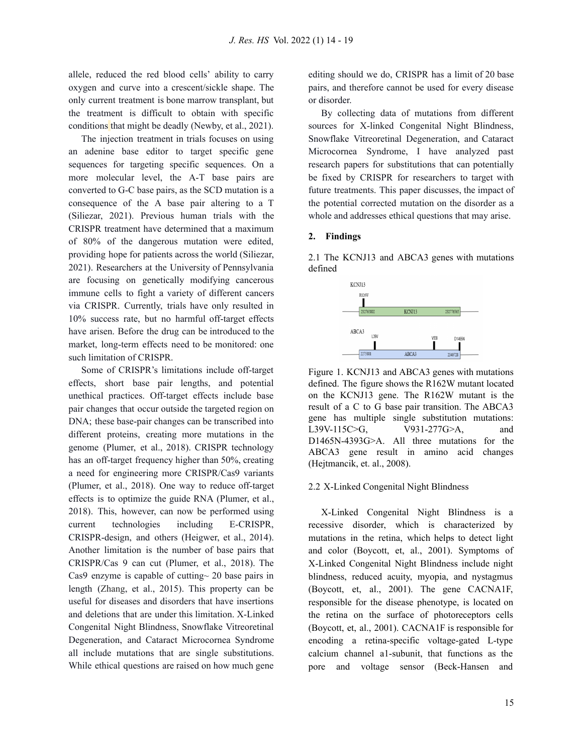allele, reduced the red blood cells' ability to carry oxygen and curve into a crescent/sickle shape. The only current treatment is bone marrow transplant, but the treatment is difficult to obtain with specific conditions that might be deadly (Newby, et al., 2021).

The injection treatment in trials focuses on using an adenine base editor to target specific gene sequences for targeting specific sequences. On a more molecular level, the A-T base pairs are converted to G-C base pairs, as the SCD mutation is a consequence of the A base pair altering to a T (Siliezar, 2021). Previous human trials with the CRISPR treatment have determined that a maximum of 80% of the dangerous mutation were edited, providing hope for patients across the world (Siliezar, 2021). Researchers at the University of Pennsylvania are focusing on genetically modifying cancerous immune cells to fight a variety of different cancers via CRISPR. Currently, trials have only resulted in 10% success rate, but no harmful off-target effects have arisen. Before the drug can be introduced to the market, long-term effects need to be monitored: one such limitation of CRISPR.

Some of CRISPR's limitations include off-target effects, short base pair lengths, and potential unethical practices. Off-target effects include base pair changes that occur outside the targeted region on DNA; these base-pair changes can be transcribed into different proteins, creating more mutations in the genome (Plumer, et al., 2018). CRISPR technology has an off-target frequency higher than 50%, creating a need for engineering more CRISPR/Cas9 variants (Plumer, et al., 2018). One way to reduce off-target effects is to optimize the guide RNA (Plumer, et al., 2018). This, however, can now be performed using current technologies including E-CRISPR, CRISPR-design, and others (Heigwer, et al., 2014). Another limitation is the number of base pairs that CRISPR/Cas 9 can cut (Plumer, et al., 2018). The Cas9 enzyme is capable of cutting~ 20 base pairs in length (Zhang, et al., 2015). This property can be useful for diseases and disorders that have insertions and deletions that are under this limitation. X-Linked Congenital Night Blindness, Snowflake Vitreoretinal Degeneration, and Cataract Microcornea Syndrome all include mutations that are single substitutions. While ethical questions are raised on how much gene

editing should we do, CRISPR has a limit of 20 base pairs, and therefore cannot be used for every disease or disorder.

By collecting data of mutations from different sources for X-linked Congenital Night Blindness, Snowflake Vitreoretinal Degeneration, and Cataract Microcornea Syndrome, I have analyzed past research papers for substitutions that can potentially be fixed by CRISPR for researchers to target with future treatments. This paper discusses, the impact of the potential corrected mutation on the disorder as a whole and addresses ethical questions that may arise.

# **2. Findings**

2.1 The KCNJ13 and ABCA3 genes with mutations defined



Figure 1. KCNJ13 and ABCA3 genes with mutations defined. The figure shows the R162W mutant located on the KCNJ13 gene. The R162W mutant is the result of a C to G base pair transition. The ABCA3 gene has multiple single substitution mutations: L39V-115C>G,  $V931-277G>A$ , and D1465N-4393G>A. All three mutations for the ABCA3 gene result in amino acid changes (Hejtmancik, et. al., 2008).

# 2.2 X-Linked Congenital Night Blindness

X-Linked Congenital Night Blindness is a recessive disorder, which is characterized by mutations in the retina, which helps to detect light and color (Boycott, et, al., 2001). Symptoms of X-Linked Congenital Night Blindness include night blindness, reduced acuity, myopia, and nystagmus (Boycott, et, al., 2001). The gene CACNA1F, responsible for the disease phenotype, is located on the retina on the surface of photoreceptors cells (Boycott, et, al., 2001). CACNA1F is responsible for encoding a retina-specific voltage-gated L-type calcium channel a1-subunit, that functions as the pore and voltage sensor (Beck-Hansen and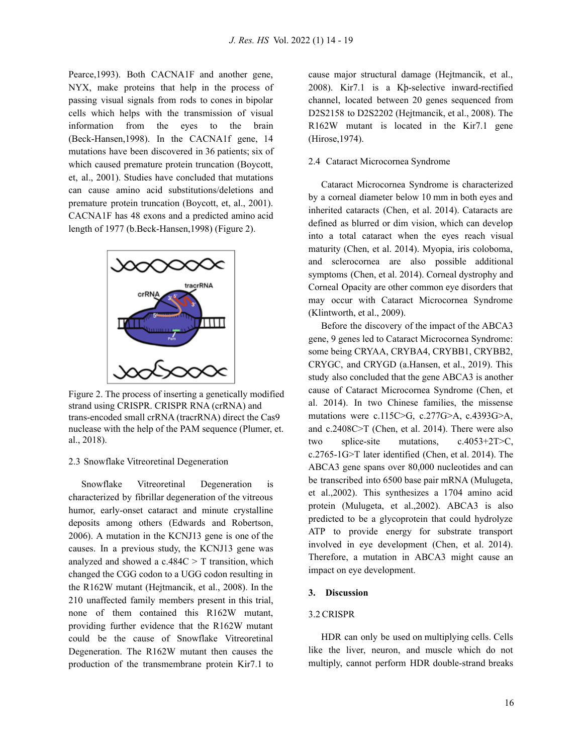Pearce,1993). Both CACNA1F and another gene, NYX, make proteins that help in the process of passing visual signals from rods to cones in bipolar cells which helps with the transmission of visual information from the eyes to the brain (Beck-Hansen,1998). In the CACNA1f gene, 14 mutations have been discovered in 36 patients; six of which caused premature protein truncation (Boycott, et, al., 2001). Studies have concluded that mutations can cause amino acid substitutions/deletions and premature protein truncation (Boycott, et, al., 2001). CACNA1F has 48 exons and a predicted amino acid length of 1977 (b.Beck-Hansen,1998) (Figure 2).



Figure 2. The process of inserting a genetically modified strand using CRISPR. CRISPR RNA (crRNA) and trans-encoded small crRNA (tracrRNA) direct the Cas9 nuclease with the help of the PAM sequence (Plumer, et. al., 2018).

#### 2.3 Snowflake Vitreoretinal Degeneration

Snowflake Vitreoretinal Degeneration is characterized by fibrillar degeneration of the vitreous humor, early-onset cataract and minute crystalline deposits among others (Edwards and Robertson, 2006). A mutation in the KCNJ13 gene is one of the causes. In a previous study, the KCNJ13 gene was analyzed and showed a  $c.484C > T$  transition, which changed the CGG codon to a UGG codon resulting in the R162W mutant (Hejtmancik, et al., 2008). In the 210 unaffected family members present in this trial, none of them contained this R162W mutant, providing further evidence that the R162W mutant could be the cause of Snowflake Vitreoretinal Degeneration. The R162W mutant then causes the production of the transmembrane protein Kir7.1 to cause major structural damage (Hejtmancik, et al., 2008). Kir7.1 is a Kþ-selective inward-rectified channel, located between 20 genes sequenced from D2S2158 to D2S2202 (Hejtmancik, et al., 2008). The R162W mutant is located in the Kir7.1 gene (Hirose,1974).

# 2.4 Cataract Microcornea Syndrome

Cataract Microcornea Syndrome is characterized by a corneal diameter below 10 mm in both eyes and inherited cataracts (Chen, et al. 2014). Cataracts are defined as blurred or dim vision, which can develop into a total cataract when the eyes reach visual maturity (Chen, et al. 2014). Myopia, iris coloboma, and sclerocornea are also possible additional symptoms (Chen, et al. 2014). Corneal dystrophy and Corneal Opacity are other common eye disorders that may occur with Cataract Microcornea Syndrome (Klintworth, et al., 2009).

Before the discovery of the impact of the ABCA3 gene, 9 genes led to Cataract Microcornea Syndrome: some being CRYAA, CRYBA4, CRYBB1, CRYBB2, CRYGC, and CRYGD (a.Hansen, et al., 2019). This study also concluded that the gene ABCA3 is another cause of Cataract Microcornea Syndrome (Chen, et al. 2014). In two Chinese families, the missense mutations were c.115C>G, c.277G>A, c.4393G>A, and c.2408C>T (Chen, et al. 2014). There were also two splice-site mutations, c.4053+2T>C, c.2765-1G>T later identified (Chen, et al. 2014). The ABCA3 gene spans over 80,000 nucleotides and can be transcribed into 6500 base pair mRNA (Mulugeta, et al.,2002). This synthesizes a 1704 amino acid protein (Mulugeta, et al.,2002). ABCA3 is also predicted to be a glycoprotein that could hydrolyze ATP to provide energy for substrate transport involved in eye development (Chen, et al. 2014). Therefore, a mutation in ABCA3 might cause an impact on eye development.

#### **3. Discussion**

#### 3.2 CRISPR

HDR can only be used on multiplying cells. Cells like the liver, neuron, and muscle which do not multiply, cannot perform HDR double-strand breaks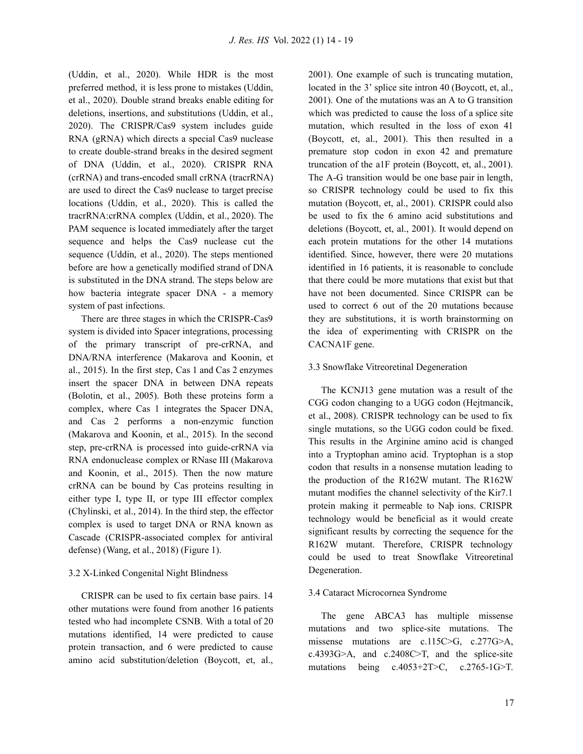(Uddin, et al., 2020). While HDR is the most preferred method, it is less prone to mistakes (Uddin, et al., 2020). Double strand breaks enable editing for deletions, insertions, and substitutions (Uddin, et al., 2020). The CRISPR/Cas9 system includes guide RNA (gRNA) which directs a special Cas9 nuclease to create double-strand breaks in the desired segment of DNA (Uddin, et al., 2020). CRISPR RNA (crRNA) and trans-encoded small crRNA (tracrRNA) are used to direct the Cas9 nuclease to target precise locations (Uddin, et al., 2020). This is called the tracrRNA:crRNA complex (Uddin, et al., 2020). The PAM sequence is located immediately after the target sequence and helps the Cas9 nuclease cut the sequence (Uddin, et al., 2020). The steps mentioned before are how a genetically modified strand of DNA is substituted in the DNA strand. The steps below are how bacteria integrate spacer DNA - a memory system of past infections.

There are three stages in which the CRISPR-Cas9 system is divided into Spacer integrations, processing of the primary transcript of pre-crRNA, and DNA/RNA interference (Makarova and Koonin, et al., 2015). In the first step, Cas 1 and Cas 2 enzymes insert the spacer DNA in between DNA repeats (Bolotin, et al., 2005). Both these proteins form a complex, where Cas 1 integrates the Spacer DNA, and Cas 2 performs a non-enzymic function (Makarova and Koonin, et al., 2015). In the second step, pre-crRNA is processed into guide-crRNA via RNA endonuclease complex or RNase III (Makarova and Koonin, et al., 2015). Then the now mature crRNA can be bound by Cas proteins resulting in either type I, type II, or type III effector complex (Chylinski, et al., 2014). In the third step, the effector complex is used to target DNA or RNA known as Cascade (CRISPR-associated complex for antiviral defense) (Wang, et al., 2018) (Figure 1).

#### 3.2 X-Linked Congenital Night Blindness

CRISPR can be used to fix certain base pairs. 14 other mutations were found from another 16 patients tested who had incomplete CSNB. With a total of 20 mutations identified, 14 were predicted to cause protein transaction, and 6 were predicted to cause amino acid substitution/deletion (Boycott, et, al.,

2001). One example of such is truncating mutation, located in the 3' splice site intron 40 (Boycott, et, al., 2001). One of the mutations was an A to G transition which was predicted to cause the loss of a splice site mutation, which resulted in the loss of exon 41 (Boycott, et, al., 2001). This then resulted in a premature stop codon in exon 42 and premature truncation of the a1F protein (Boycott, et, al., 2001). The A-G transition would be one base pair in length, so CRISPR technology could be used to fix this mutation (Boycott, et, al., 2001). CRISPR could also be used to fix the 6 amino acid substitutions and deletions (Boycott, et, al., 2001). It would depend on each protein mutations for the other 14 mutations identified. Since, however, there were 20 mutations identified in 16 patients, it is reasonable to conclude that there could be more mutations that exist but that have not been documented. Since CRISPR can be used to correct 6 out of the 20 mutations because they are substitutions, it is worth brainstorming on the idea of experimenting with CRISPR on the CACNA1F gene.

# 3.3 Snowflake Vitreoretinal Degeneration

The KCNJ13 gene mutation was a result of the CGG codon changing to a UGG codon (Hejtmancik, et al., 2008). CRISPR technology can be used to fix single mutations, so the UGG codon could be fixed. This results in the Arginine amino acid is changed into a Tryptophan amino acid. Tryptophan is a stop codon that results in a nonsense mutation leading to the production of the R162W mutant. The R162W mutant modifies the channel selectivity of the Kir7.1 protein making it permeable to Naþ ions. CRISPR technology would be beneficial as it would create significant results by correcting the sequence for the R162W mutant. Therefore, CRISPR technology could be used to treat Snowflake Vitreoretinal Degeneration.

#### 3.4 Cataract Microcornea Syndrome

The gene ABCA3 has multiple missense mutations and two splice-site mutations. The missense mutations are c.115C>G, c.277G>A, c.4393G>A, and c.2408C>T, and the splice-site mutations being  $c.4053+2T>C$ ,  $c.2765-1G>T$ .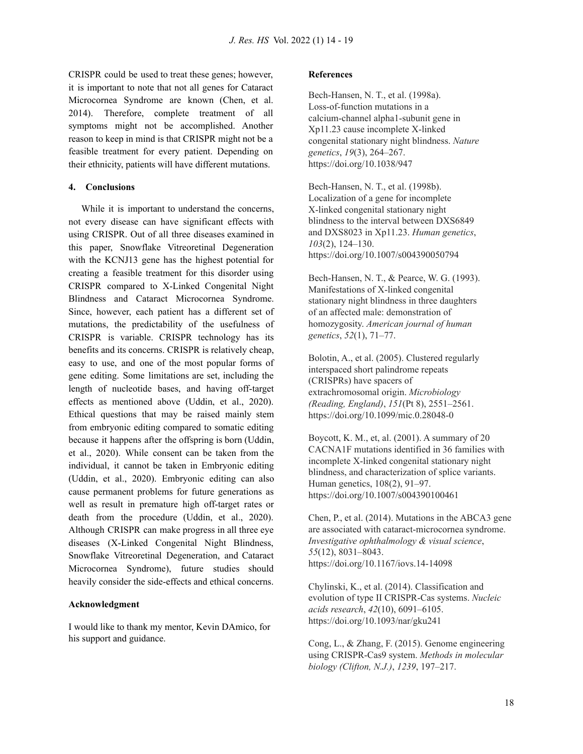CRISPR could be used to treat these genes; however, it is important to note that not all genes for Cataract Microcornea Syndrome are known (Chen, et al. 2014). Therefore, complete treatment of all symptoms might not be accomplished. Another reason to keep in mind is that CRISPR might not be a feasible treatment for every patient. Depending on their ethnicity, patients will have different mutations.

# **4. Conclusions**

While it is important to understand the concerns, not every disease can have significant effects with using CRISPR. Out of all three diseases examined in this paper, Snowflake Vitreoretinal Degeneration with the KCNJ13 gene has the highest potential for creating a feasible treatment for this disorder using CRISPR compared to X-Linked Congenital Night Blindness and Cataract Microcornea Syndrome. Since, however, each patient has a different set of mutations, the predictability of the usefulness of CRISPR is variable. CRISPR technology has its benefits and its concerns. CRISPR is relatively cheap, easy to use, and one of the most popular forms of gene editing. Some limitations are set, including the length of nucleotide bases, and having off-target effects as mentioned above (Uddin, et al., 2020). Ethical questions that may be raised mainly stem from embryonic editing compared to somatic editing because it happens after the offspring is born (Uddin, et al., 2020). While consent can be taken from the individual, it cannot be taken in Embryonic editing (Uddin, et al., 2020). Embryonic editing can also cause permanent problems for future generations as well as result in premature high off-target rates or death from the procedure (Uddin, et al., 2020). Although CRISPR can make progress in all three eye diseases (X-Linked Congenital Night Blindness, Snowflake Vitreoretinal Degeneration, and Cataract Microcornea Syndrome), future studies should heavily consider the side-effects and ethical concerns.

#### **Acknowledgment**

I would like to thank my mentor, Kevin DAmico, for his support and guidance.

#### **References**

Bech-Hansen, N. T., et al. (1998a). Loss-of-function mutations in a calcium-channel alpha1-subunit gene in Xp11.23 cause incomplete X-linked congenital stationary night blindness. *Nature genetics*, *19*(3), 264–267. https://doi.org/10.1038/947

Bech-Hansen, N. T., et al. (1998b). Localization of a gene for incomplete X-linked congenital stationary night blindness to the interval between DXS6849 and DXS8023 in Xp11.23. *Human genetics*, *103*(2), 124–130. https://doi.org/10.1007/s004390050794

Bech-Hansen, N. T., & Pearce, W. G. (1993). Manifestations of X-linked congenital stationary night blindness in three daughters of an affected male: demonstration of homozygosity. *American journal of human genetics*, *52*(1), 71–77.

Bolotin, A., et al. (2005). Clustered regularly interspaced short palindrome repeats (CRISPRs) have spacers of extrachromosomal origin. *Microbiology (Reading, England)*, *151*(Pt 8), 2551–2561. https://doi.org/10.1099/mic.0.28048-0

Boycott, K. M., et, al. (2001). A summary of 20 CACNA1F mutations identified in 36 families with incomplete X-linked congenital stationary night blindness, and characterization of splice variants. Human genetics, 108(2), 91–97. <https://doi.org/10.1007/s004390100461>

Chen, P., et al. (2014). Mutations in the ABCA3 gene are associated with cataract-microcornea syndrome. *Investigative ophthalmology & visual science*, *55*(12), 8031–8043. https://doi.org/10.1167/iovs.14-14098

Chylinski, K., et al. (2014). Classification and evolution of type II CRISPR-Cas systems. *Nucleic acids research*, *42*(10), 6091–6105. https://doi.org/10.1093/nar/gku241

Cong, L., & Zhang, F. (2015). Genome engineering using CRISPR-Cas9 system. *Methods in molecular biology (Clifton, N.J.)*, *1239*, 197–217.